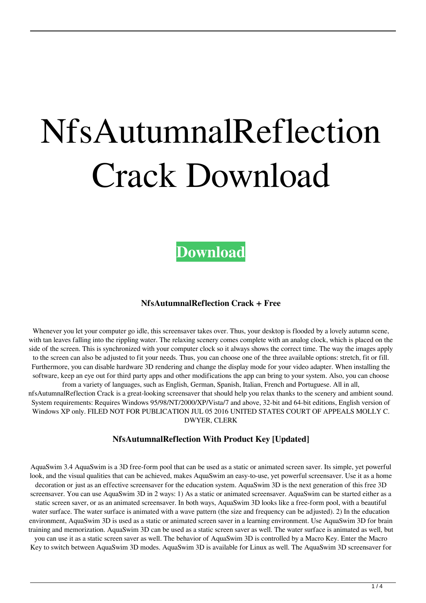# NfsAutumnalReflection Crack Download



#### **NfsAutumnalReflection Crack + Free**

Whenever you let your computer go idle, this screensaver takes over. Thus, your desktop is flooded by a lovely autumn scene, with tan leaves falling into the rippling water. The relaxing scenery comes complete with an analog clock, which is placed on the side of the screen. This is synchronized with your computer clock so it always shows the correct time. The way the images apply to the screen can also be adjusted to fit your needs. Thus, you can choose one of the three available options: stretch, fit or fill. Furthermore, you can disable hardware 3D rendering and change the display mode for your video adapter. When installing the software, keep an eye out for third party apps and other modifications the app can bring to your system. Also, you can choose from a variety of languages, such as English, German, Spanish, Italian, French and Portuguese. All in all,

nfsAutumnalReflection Crack is a great-looking screensaver that should help you relax thanks to the scenery and ambient sound. System requirements: Requires Windows 95/98/NT/2000/XP/Vista/7 and above, 32-bit and 64-bit editions, English version of Windows XP only. FILED NOT FOR PUBLICATION JUL 05 2016 UNITED STATES COURT OF APPEALS MOLLY C. DWYER, CLERK

### **NfsAutumnalReflection With Product Key [Updated]**

AquaSwim 3.4 AquaSwim is a 3D free-form pool that can be used as a static or animated screen saver. Its simple, yet powerful look, and the visual qualities that can be achieved, makes AquaSwim an easy-to-use, yet powerful screensaver. Use it as a home decoration or just as an effective screensaver for the education system. AquaSwim 3D is the next generation of this free 3D screensaver. You can use AquaSwim 3D in 2 ways: 1) As a static or animated screensaver. AquaSwim can be started either as a static screen saver, or as an animated screensaver. In both ways, AquaSwim 3D looks like a free-form pool, with a beautiful water surface. The water surface is animated with a wave pattern (the size and frequency can be adjusted). 2) In the education environment, AquaSwim 3D is used as a static or animated screen saver in a learning environment. Use AquaSwim 3D for brain training and memorization. AquaSwim 3D can be used as a static screen saver as well. The water surface is animated as well, but you can use it as a static screen saver as well. The behavior of AquaSwim 3D is controlled by a Macro Key. Enter the Macro Key to switch between AquaSwim 3D modes. AquaSwim 3D is available for Linux as well. The AquaSwim 3D screensaver for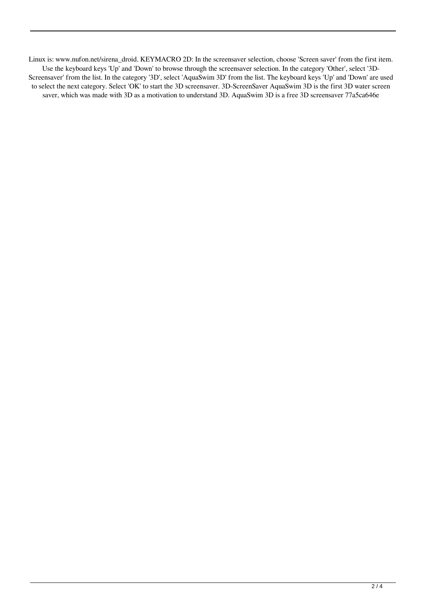Linux is: www.nufon.net/sirena\_droid. KEYMACRO 2D: In the screensaver selection, choose 'Screen saver' from the first item. Use the keyboard keys 'Up' and 'Down' to browse through the screensaver selection. In the category 'Other', select '3D-Screensaver' from the list. In the category '3D', select 'AquaSwim 3D' from the list. The keyboard keys 'Up' and 'Down' are used to select the next category. Select 'OK' to start the 3D screensaver. 3D-ScreenSaver AquaSwim 3D is the first 3D water screen saver, which was made with 3D as a motivation to understand 3D. AquaSwim 3D is a free 3D screensaver 77a5ca646e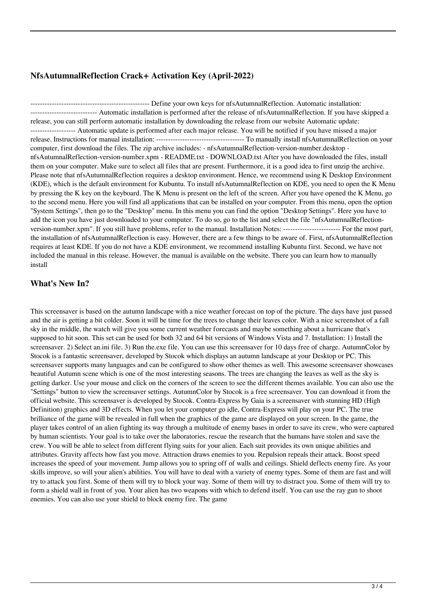# **NfsAutumnalReflection Crack+ Activation Key (April-2022)**

-------------------------------------------------- Define your own keys for nfsAutumnalReflection. Automatic installation: ---------------------------- Automatic installation is performed after the release of nfsAutumnalReflection. If you have skipped a release, you can still perform automatic installation by downloading the release from our website Automatic update: ------------------- Automatic update is performed after each major release. You will be notified if you have missed a major release. Instructions for manual installation: ------------------------------------- To manually install nfsAutumnalReflection on your computer, first download the files. The zip archive includes: - nfsAutumnalReflection-version-number.desktop nfsAutumnalReflection-version-number.xpm - README.txt - DOWNLOAD.txt After you have downloaded the files, install them on your computer. Make sure to select all files that are present. Furthermore, it is a good idea to first unzip the archive. Please note that nfsAutumnalReflection requires a desktop environment. Hence, we recommend using K Desktop Environment (KDE), which is the default environment for Kubuntu. To install nfsAutumnalReflection on KDE, you need to open the K Menu by pressing the K key on the keyboard. The K Menu is present on the left of the screen. After you have opened the K Menu, go to the second menu. Here you will find all applications that can be installed on your computer. From this menu, open the option "System Settings", then go to the "Desktop" menu. In this menu you can find the option "Desktop Settings". Here you have to add the icon you have just downloaded to your computer. To do so, go to the list and select the file "nfsAutumnalReflectionversion-number.xpm". If you still have problems, refer to the manual. Installation Notes: ------------------------ For the most part, the installation of nfsAutumnalReflection is easy. However, there are a few things to be aware of. First, nfsAutumnalReflection requires at least KDE. If you do not have a KDE environment, we recommend installing Kubuntu first. Second, we have not included the manual in this release. However, the manual is available on the website. There you can learn how to manually install

## **What's New In?**

This screensaver is based on the autumn landscape with a nice weather forecast on top of the picture. The days have just passed and the air is getting a bit colder. Soon it will be time for the trees to change their leaves color. With a nice screenshot of a fall sky in the middle, the watch will give you some current weather forecasts and maybe something about a hurricane that's supposed to hit soon. This set can be used for both 32 and 64 bit versions of Windows Vista and 7. Installation: 1) Install the screensaver. 2) Select an.ini file. 3) Run the.exe file. You can use this screensaver for 10 days free of charge. AutumnColor by Stocok is a fantastic screensaver, developed by Stocok which displays an autumn landscape at your Desktop or PC. This screensaver supports many languages and can be configured to show other themes as well. This awesome screensaver showcases beautiful Autumn scene which is one of the most interesting seasons. The trees are changing the leaves as well as the sky is getting darker. Use your mouse and click on the corners of the screen to see the different themes available. You can also use the "Settings" button to view the screensaver settings. AutumnColor by Stocok is a free screensaver. You can download it from the official website. This screensaver is developed by Stocok. Contra-Express by Gaia is a screensaver with stunning HD (High Definition) graphics and 3D effects. When you let your computer go idle, Contra-Express will play on your PC. The true brilliance of the game will be revealed in full when the graphics of the game are displayed on your screen. In the game, the player takes control of an alien fighting its way through a multitude of enemy bases in order to save its crew, who were captured by human scientists. Your goal is to take over the laboratories, rescue the research that the humans have stolen and save the crew. You will be able to select from different flying suits for your alien. Each suit provides its own unique abilities and attributes. Gravity affects how fast you move. Attraction draws enemies to you. Repulsion repeals their attack. Boost speed increases the speed of your movement. Jump allows you to spring off of walls and ceilings. Shield deflects enemy fire. As your skills improve, so will your alien's abilities. You will have to deal with a variety of enemy types. Some of them are fast and will try to attack you first. Some of them will try to block your way. Some of them will try to distract you. Some of them will try to form a shield wall in front of you. Your alien has two weapons with which to defend itself. You can use the ray gun to shoot enemies. You can also use your shield to block enemy fire. The game